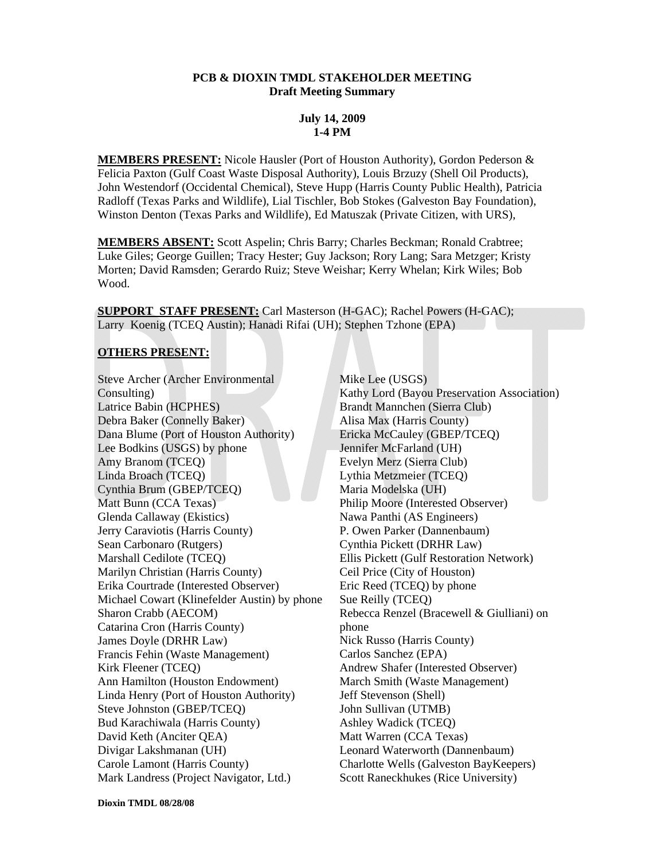### **PCB & DIOXIN TMDL STAKEHOLDER MEETING Draft Meeting Summary**

### **July 14, 2009 1-4 PM**

**MEMBERS PRESENT:** Nicole Hausler (Port of Houston Authority), Gordon Pederson & Felicia Paxton (Gulf Coast Waste Disposal Authority), Louis Brzuzy (Shell Oil Products), John Westendorf (Occidental Chemical), Steve Hupp (Harris County Public Health), Patricia Radloff (Texas Parks and Wildlife), Lial Tischler, Bob Stokes (Galveston Bay Foundation), Winston Denton (Texas Parks and Wildlife), Ed Matuszak (Private Citizen, with URS),

**MEMBERS ABSENT:** Scott Aspelin; Chris Barry; Charles Beckman; Ronald Crabtree; Luke Giles; George Guillen; Tracy Hester; Guy Jackson; Rory Lang; Sara Metzger; Kristy Morten; David Ramsden; Gerardo Ruiz; Steve Weishar; Kerry Whelan; Kirk Wiles; Bob Wood.

**SUPPORT STAFF PRESENT:** Carl Masterson (H-GAC); Rachel Powers (H-GAC); Larry Koenig (TCEQ Austin); Hanadi Rifai (UH); Stephen Tzhone (EPA)

# **OTHERS PRESENT:**

Steve Archer (Archer Environmental Consulting) Latrice Babin (HCPHES) Debra Baker (Connelly Baker) Dana Blume (Port of Houston Authority) Lee Bodkins (USGS) by phone Amy Branom (TCEQ) Linda Broach (TCEQ) Cynthia Brum (GBEP/TCEQ) Matt Bunn (CCA Texas) Glenda Callaway (Ekistics) Jerry Caraviotis (Harris County) Sean Carbonaro (Rutgers) Marshall Cedilote (TCEQ) Marilyn Christian (Harris County) Erika Courtrade (Interested Observer) Michael Cowart (Klinefelder Austin) by phone Sharon Crabb (AECOM) Catarina Cron (Harris County) James Doyle (DRHR Law) Francis Fehin (Waste Management) Kirk Fleener (TCEQ) Ann Hamilton (Houston Endowment) Linda Henry (Port of Houston Authority) Steve Johnston (GBEP/TCEQ) Bud Karachiwala (Harris County) David Keth (Anciter QEA) Divigar Lakshmanan (UH) Carole Lamont (Harris County) Mark Landress (Project Navigator, Ltd.)

Mike Lee (USGS) Kathy Lord (Bayou Preservation Association) Brandt Mannchen (Sierra Club) Alisa Max (Harris County) Ericka McCauley (GBEP/TCEQ) Jennifer McFarland (UH) Evelyn Merz (Sierra Club) Lythia Metzmeier (TCEQ) Maria Modelska (UH) Philip Moore (Interested Observer) Nawa Panthi (AS Engineers) P. Owen Parker (Dannenbaum) Cynthia Pickett (DRHR Law) Ellis Pickett (Gulf Restoration Network) Ceil Price (City of Houston) Eric Reed (TCEQ) by phone Sue Reilly (TCEQ) Rebecca Renzel (Bracewell & Giulliani) on phone Nick Russo (Harris County) Carlos Sanchez (EPA) Andrew Shafer (Interested Observer) March Smith (Waste Management) Jeff Stevenson (Shell) John Sullivan (UTMB) Ashley Wadick (TCEQ) Matt Warren (CCA Texas) Leonard Waterworth (Dannenbaum) Charlotte Wells (Galveston BayKeepers) Scott Raneckhukes (Rice University)

**Dioxin TMDL 08/28/08**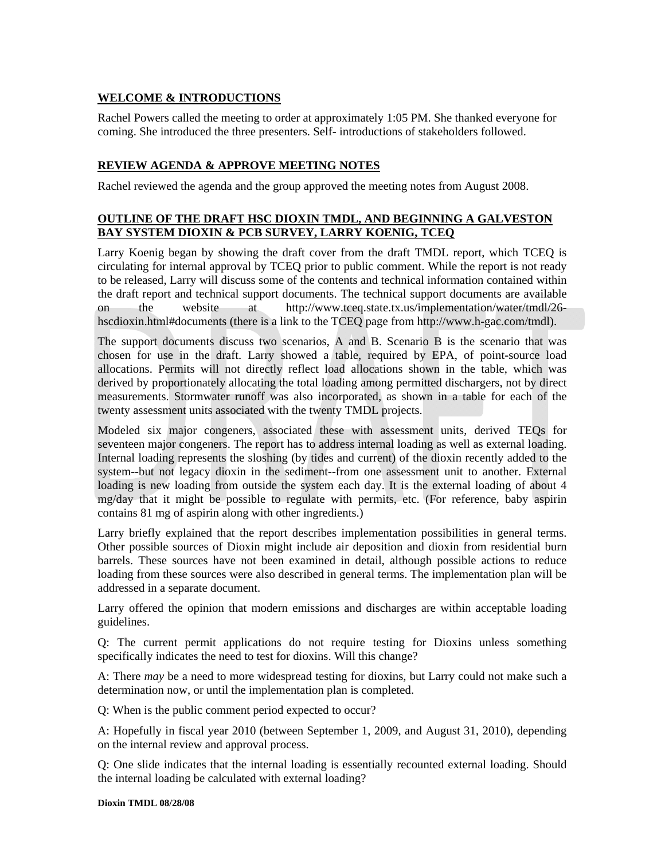# **WELCOME & INTRODUCTIONS**

Rachel Powers called the meeting to order at approximately 1:05 PM. She thanked everyone for coming. She introduced the three presenters. Self- introductions of stakeholders followed.

# **REVIEW AGENDA & APPROVE MEETING NOTES**

Rachel reviewed the agenda and the group approved the meeting notes from August 2008.

# **OUTLINE OF THE DRAFT HSC DIOXIN TMDL, AND BEGINNING A GALVESTON BAY SYSTEM DIOXIN & PCB SURVEY, LARRY KOENIG, TCEQ**

Larry Koenig began by showing the draft cover from the draft TMDL report, which TCEQ is circulating for internal approval by TCEQ prior to public comment. While the report is not ready to be released, Larry will discuss some of the contents and technical information contained within the draft report and technical support documents. The technical support documents are available on the website at http://www.tceq.state.tx.us/implementation/water/tmdl/26 hscdioxin.html#documents (there is a link to the TCEQ page from http://www.h-gac.com/tmdl).

The support documents discuss two scenarios, A and B. Scenario B is the scenario that was chosen for use in the draft. Larry showed a table, required by EPA, of point-source load allocations. Permits will not directly reflect load allocations shown in the table, which was derived by proportionately allocating the total loading among permitted dischargers, not by direct measurements. Stormwater runoff was also incorporated, as shown in a table for each of the twenty assessment units associated with the twenty TMDL projects.

Modeled six major congeners, associated these with assessment units, derived TEQs for seventeen major congeners. The report has to address internal loading as well as external loading. Internal loading represents the sloshing (by tides and current) of the dioxin recently added to the system--but not legacy dioxin in the sediment--from one assessment unit to another. External loading is new loading from outside the system each day. It is the external loading of about 4 mg/day that it might be possible to regulate with permits, etc. (For reference, baby aspirin contains 81 mg of aspirin along with other ingredients.)

Larry briefly explained that the report describes implementation possibilities in general terms. Other possible sources of Dioxin might include air deposition and dioxin from residential burn barrels. These sources have not been examined in detail, although possible actions to reduce loading from these sources were also described in general terms. The implementation plan will be addressed in a separate document.

Larry offered the opinion that modern emissions and discharges are within acceptable loading guidelines.

Q: The current permit applications do not require testing for Dioxins unless something specifically indicates the need to test for dioxins. Will this change?

A: There *may* be a need to more widespread testing for dioxins, but Larry could not make such a determination now, or until the implementation plan is completed.

Q: When is the public comment period expected to occur?

A: Hopefully in fiscal year 2010 (between September 1, 2009, and August 31, 2010), depending on the internal review and approval process.

Q: One slide indicates that the internal loading is essentially recounted external loading. Should the internal loading be calculated with external loading?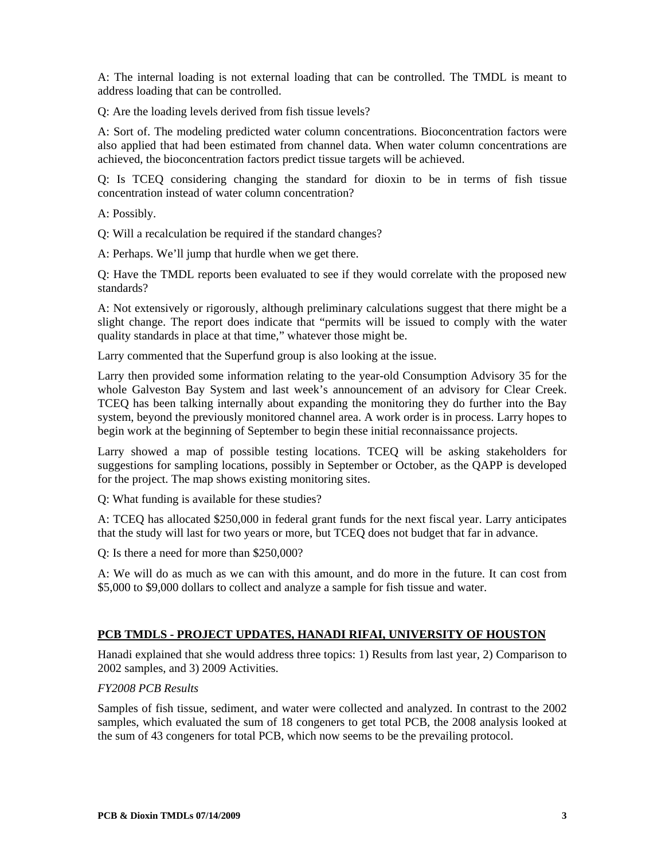A: The internal loading is not external loading that can be controlled. The TMDL is meant to address loading that can be controlled.

Q: Are the loading levels derived from fish tissue levels?

A: Sort of. The modeling predicted water column concentrations. Bioconcentration factors were also applied that had been estimated from channel data. When water column concentrations are achieved, the bioconcentration factors predict tissue targets will be achieved.

Q: Is TCEQ considering changing the standard for dioxin to be in terms of fish tissue concentration instead of water column concentration?

A: Possibly.

Q: Will a recalculation be required if the standard changes?

A: Perhaps. We'll jump that hurdle when we get there.

Q: Have the TMDL reports been evaluated to see if they would correlate with the proposed new standards?

A: Not extensively or rigorously, although preliminary calculations suggest that there might be a slight change. The report does indicate that "permits will be issued to comply with the water quality standards in place at that time," whatever those might be.

Larry commented that the Superfund group is also looking at the issue.

Larry then provided some information relating to the year-old Consumption Advisory 35 for the whole Galveston Bay System and last week's announcement of an advisory for Clear Creek. TCEQ has been talking internally about expanding the monitoring they do further into the Bay system, beyond the previously monitored channel area. A work order is in process. Larry hopes to begin work at the beginning of September to begin these initial reconnaissance projects.

Larry showed a map of possible testing locations. TCEQ will be asking stakeholders for suggestions for sampling locations, possibly in September or October, as the QAPP is developed for the project. The map shows existing monitoring sites.

Q: What funding is available for these studies?

A: TCEQ has allocated \$250,000 in federal grant funds for the next fiscal year. Larry anticipates that the study will last for two years or more, but TCEQ does not budget that far in advance.

Q: Is there a need for more than \$250,000?

A: We will do as much as we can with this amount, and do more in the future. It can cost from \$5,000 to \$9,000 dollars to collect and analyze a sample for fish tissue and water.

#### **PCB TMDLS - PROJECT UPDATES, HANADI RIFAI, UNIVERSITY OF HOUSTON**

Hanadi explained that she would address three topics: 1) Results from last year, 2) Comparison to 2002 samples, and 3) 2009 Activities.

#### *FY2008 PCB Results*

Samples of fish tissue, sediment, and water were collected and analyzed. In contrast to the 2002 samples, which evaluated the sum of 18 congeners to get total PCB, the 2008 analysis looked at the sum of 43 congeners for total PCB, which now seems to be the prevailing protocol.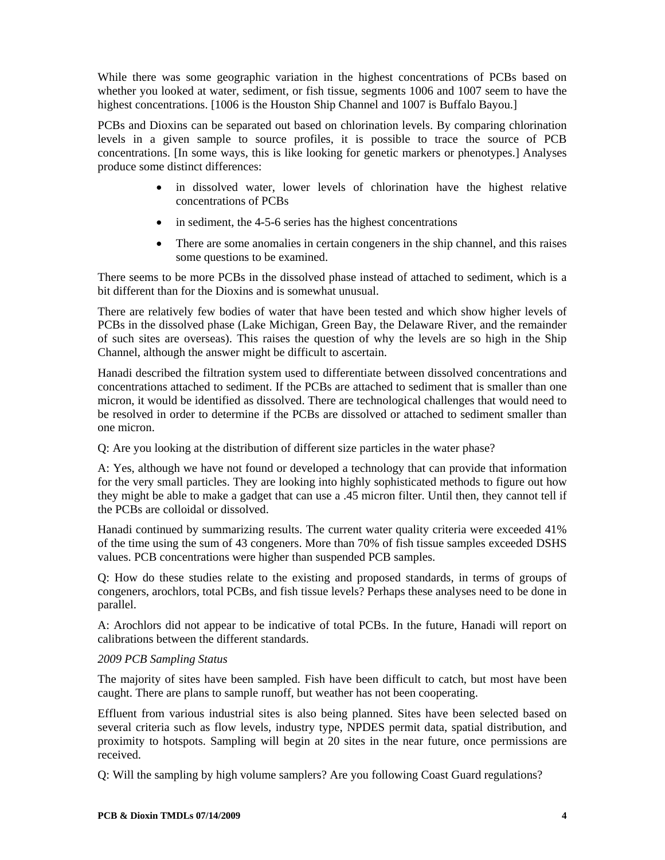While there was some geographic variation in the highest concentrations of PCBs based on whether you looked at water, sediment, or fish tissue, segments 1006 and 1007 seem to have the highest concentrations. [1006 is the Houston Ship Channel and 1007 is Buffalo Bayou.]

PCBs and Dioxins can be separated out based on chlorination levels. By comparing chlorination levels in a given sample to source profiles, it is possible to trace the source of PCB concentrations. [In some ways, this is like looking for genetic markers or phenotypes.] Analyses produce some distinct differences:

- in dissolved water, lower levels of chlorination have the highest relative concentrations of PCBs
- in sediment, the 4-5-6 series has the highest concentrations
- There are some anomalies in certain congeners in the ship channel, and this raises some questions to be examined.

There seems to be more PCBs in the dissolved phase instead of attached to sediment, which is a bit different than for the Dioxins and is somewhat unusual.

There are relatively few bodies of water that have been tested and which show higher levels of PCBs in the dissolved phase (Lake Michigan, Green Bay, the Delaware River, and the remainder of such sites are overseas). This raises the question of why the levels are so high in the Ship Channel, although the answer might be difficult to ascertain.

Hanadi described the filtration system used to differentiate between dissolved concentrations and concentrations attached to sediment. If the PCBs are attached to sediment that is smaller than one micron, it would be identified as dissolved. There are technological challenges that would need to be resolved in order to determine if the PCBs are dissolved or attached to sediment smaller than one micron.

Q: Are you looking at the distribution of different size particles in the water phase?

A: Yes, although we have not found or developed a technology that can provide that information for the very small particles. They are looking into highly sophisticated methods to figure out how they might be able to make a gadget that can use a .45 micron filter. Until then, they cannot tell if the PCBs are colloidal or dissolved.

Hanadi continued by summarizing results. The current water quality criteria were exceeded 41% of the time using the sum of 43 congeners. More than 70% of fish tissue samples exceeded DSHS values. PCB concentrations were higher than suspended PCB samples.

Q: How do these studies relate to the existing and proposed standards, in terms of groups of congeners, arochlors, total PCBs, and fish tissue levels? Perhaps these analyses need to be done in parallel.

A: Arochlors did not appear to be indicative of total PCBs. In the future, Hanadi will report on calibrations between the different standards.

## *2009 PCB Sampling Status*

The majority of sites have been sampled. Fish have been difficult to catch, but most have been caught. There are plans to sample runoff, but weather has not been cooperating.

Effluent from various industrial sites is also being planned. Sites have been selected based on several criteria such as flow levels, industry type, NPDES permit data, spatial distribution, and proximity to hotspots. Sampling will begin at 20 sites in the near future, once permissions are received.

Q: Will the sampling by high volume samplers? Are you following Coast Guard regulations?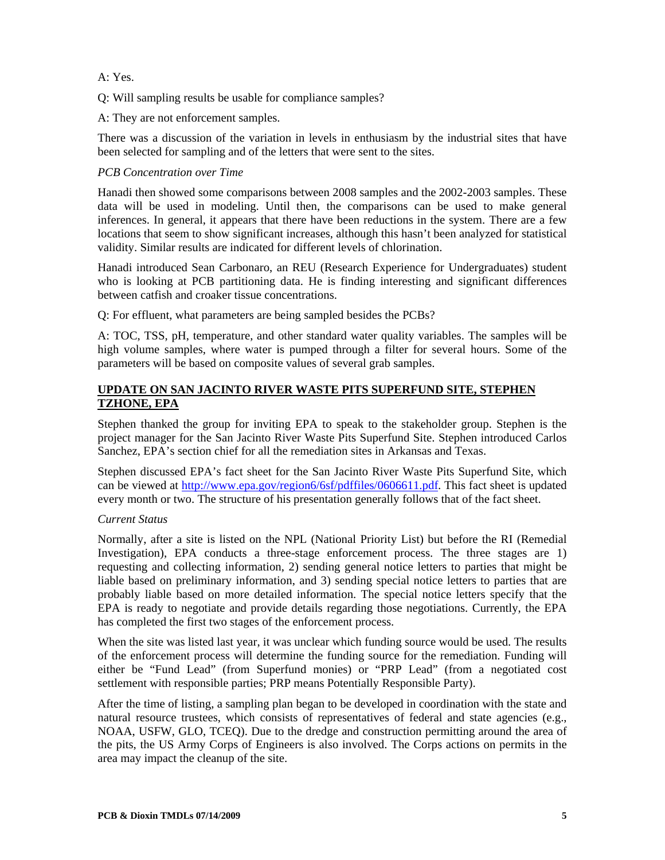A: Yes.

Q: Will sampling results be usable for compliance samples?

A: They are not enforcement samples.

There was a discussion of the variation in levels in enthusiasm by the industrial sites that have been selected for sampling and of the letters that were sent to the sites.

## *PCB Concentration over Time*

Hanadi then showed some comparisons between 2008 samples and the 2002-2003 samples. These data will be used in modeling. Until then, the comparisons can be used to make general inferences. In general, it appears that there have been reductions in the system. There are a few locations that seem to show significant increases, although this hasn't been analyzed for statistical validity. Similar results are indicated for different levels of chlorination.

Hanadi introduced Sean Carbonaro, an REU (Research Experience for Undergraduates) student who is looking at PCB partitioning data. He is finding interesting and significant differences between catfish and croaker tissue concentrations.

Q: For effluent, what parameters are being sampled besides the PCBs?

A: TOC, TSS, pH, temperature, and other standard water quality variables. The samples will be high volume samples, where water is pumped through a filter for several hours. Some of the parameters will be based on composite values of several grab samples.

# **UPDATE ON SAN JACINTO RIVER WASTE PITS SUPERFUND SITE, STEPHEN TZHONE, EPA**

Stephen thanked the group for inviting EPA to speak to the stakeholder group. Stephen is the project manager for the San Jacinto River Waste Pits Superfund Site. Stephen introduced Carlos Sanchez, EPA's section chief for all the remediation sites in Arkansas and Texas.

Stephen discussed EPA's fact sheet for the San Jacinto River Waste Pits Superfund Site, which can be viewed at [http://www.epa.gov/region6/6sf/pdffiles/0606611.pdf.](http://www.epa.gov/region6/6sf/pdffiles/0606611.pdf) This fact sheet is updated every month or two. The structure of his presentation generally follows that of the fact sheet.

## *Current Status*

Normally, after a site is listed on the NPL (National Priority List) but before the RI (Remedial Investigation), EPA conducts a three-stage enforcement process. The three stages are 1) requesting and collecting information, 2) sending general notice letters to parties that might be liable based on preliminary information, and 3) sending special notice letters to parties that are probably liable based on more detailed information. The special notice letters specify that the EPA is ready to negotiate and provide details regarding those negotiations. Currently, the EPA has completed the first two stages of the enforcement process.

When the site was listed last year, it was unclear which funding source would be used. The results of the enforcement process will determine the funding source for the remediation. Funding will either be "Fund Lead" (from Superfund monies) or "PRP Lead" (from a negotiated cost settlement with responsible parties; PRP means Potentially Responsible Party).

After the time of listing, a sampling plan began to be developed in coordination with the state and natural resource trustees, which consists of representatives of federal and state agencies (e.g., NOAA, USFW, GLO, TCEQ). Due to the dredge and construction permitting around the area of the pits, the US Army Corps of Engineers is also involved. The Corps actions on permits in the area may impact the cleanup of the site.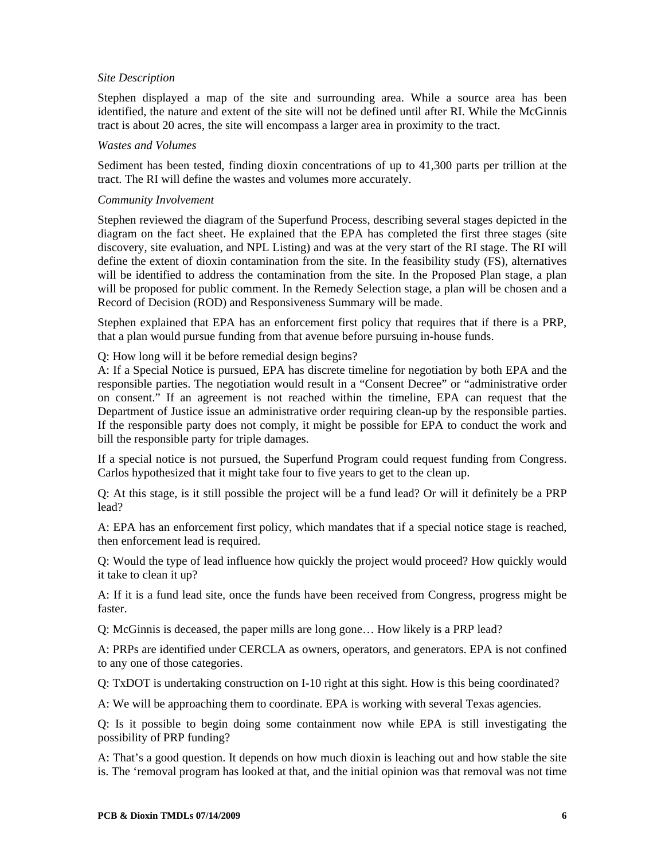### *Site Description*

Stephen displayed a map of the site and surrounding area. While a source area has been identified, the nature and extent of the site will not be defined until after RI. While the McGinnis tract is about 20 acres, the site will encompass a larger area in proximity to the tract.

## *Wastes and Volumes*

Sediment has been tested, finding dioxin concentrations of up to 41,300 parts per trillion at the tract. The RI will define the wastes and volumes more accurately.

### *Community Involvement*

Stephen reviewed the diagram of the Superfund Process, describing several stages depicted in the diagram on the fact sheet. He explained that the EPA has completed the first three stages (site discovery, site evaluation, and NPL Listing) and was at the very start of the RI stage. The RI will define the extent of dioxin contamination from the site. In the feasibility study (FS), alternatives will be identified to address the contamination from the site. In the Proposed Plan stage, a plan will be proposed for public comment. In the Remedy Selection stage, a plan will be chosen and a Record of Decision (ROD) and Responsiveness Summary will be made.

Stephen explained that EPA has an enforcement first policy that requires that if there is a PRP, that a plan would pursue funding from that avenue before pursuing in-house funds.

Q: How long will it be before remedial design begins?

A: If a Special Notice is pursued, EPA has discrete timeline for negotiation by both EPA and the responsible parties. The negotiation would result in a "Consent Decree" or "administrative order on consent." If an agreement is not reached within the timeline, EPA can request that the Department of Justice issue an administrative order requiring clean-up by the responsible parties. If the responsible party does not comply, it might be possible for EPA to conduct the work and bill the responsible party for triple damages.

If a special notice is not pursued, the Superfund Program could request funding from Congress. Carlos hypothesized that it might take four to five years to get to the clean up.

Q: At this stage, is it still possible the project will be a fund lead? Or will it definitely be a PRP lead?

A: EPA has an enforcement first policy, which mandates that if a special notice stage is reached, then enforcement lead is required.

Q: Would the type of lead influence how quickly the project would proceed? How quickly would it take to clean it up?

A: If it is a fund lead site, once the funds have been received from Congress, progress might be faster.

Q: McGinnis is deceased, the paper mills are long gone… How likely is a PRP lead?

A: PRPs are identified under CERCLA as owners, operators, and generators. EPA is not confined to any one of those categories.

Q: TxDOT is undertaking construction on I-10 right at this sight. How is this being coordinated?

A: We will be approaching them to coordinate. EPA is working with several Texas agencies.

Q: Is it possible to begin doing some containment now while EPA is still investigating the possibility of PRP funding?

A: That's a good question. It depends on how much dioxin is leaching out and how stable the site is. The 'removal program has looked at that, and the initial opinion was that removal was not time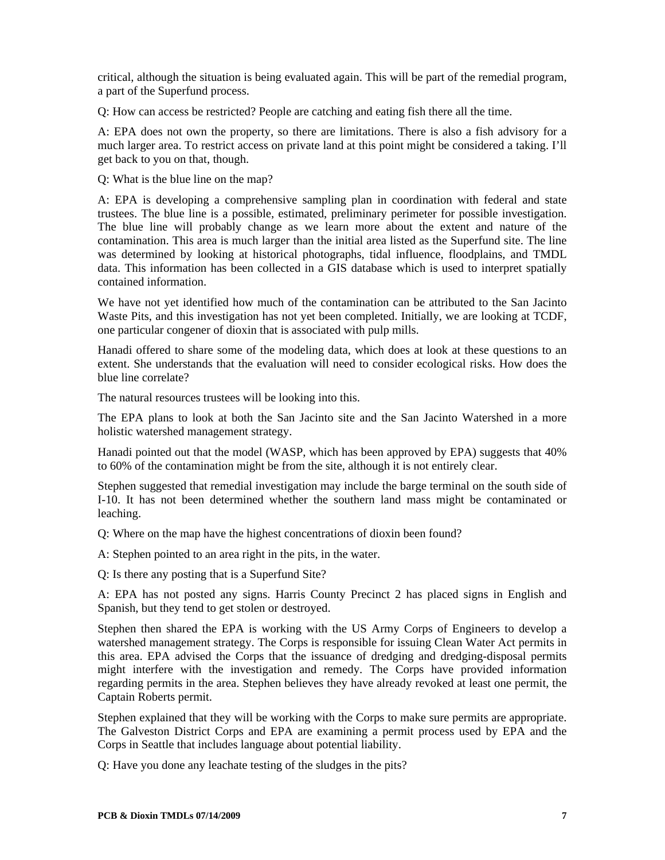critical, although the situation is being evaluated again. This will be part of the remedial program, a part of the Superfund process.

Q: How can access be restricted? People are catching and eating fish there all the time.

A: EPA does not own the property, so there are limitations. There is also a fish advisory for a much larger area. To restrict access on private land at this point might be considered a taking. I'll get back to you on that, though.

Q: What is the blue line on the map?

A: EPA is developing a comprehensive sampling plan in coordination with federal and state trustees. The blue line is a possible, estimated, preliminary perimeter for possible investigation. The blue line will probably change as we learn more about the extent and nature of the contamination. This area is much larger than the initial area listed as the Superfund site. The line was determined by looking at historical photographs, tidal influence, floodplains, and TMDL data. This information has been collected in a GIS database which is used to interpret spatially contained information.

We have not yet identified how much of the contamination can be attributed to the San Jacinto Waste Pits, and this investigation has not yet been completed. Initially, we are looking at TCDF, one particular congener of dioxin that is associated with pulp mills.

Hanadi offered to share some of the modeling data, which does at look at these questions to an extent. She understands that the evaluation will need to consider ecological risks. How does the blue line correlate?

The natural resources trustees will be looking into this.

The EPA plans to look at both the San Jacinto site and the San Jacinto Watershed in a more holistic watershed management strategy.

Hanadi pointed out that the model (WASP, which has been approved by EPA) suggests that 40% to 60% of the contamination might be from the site, although it is not entirely clear.

Stephen suggested that remedial investigation may include the barge terminal on the south side of I-10. It has not been determined whether the southern land mass might be contaminated or leaching.

Q: Where on the map have the highest concentrations of dioxin been found?

A: Stephen pointed to an area right in the pits, in the water.

Q: Is there any posting that is a Superfund Site?

A: EPA has not posted any signs. Harris County Precinct 2 has placed signs in English and Spanish, but they tend to get stolen or destroyed.

Stephen then shared the EPA is working with the US Army Corps of Engineers to develop a watershed management strategy. The Corps is responsible for issuing Clean Water Act permits in this area. EPA advised the Corps that the issuance of dredging and dredging-disposal permits might interfere with the investigation and remedy. The Corps have provided information regarding permits in the area. Stephen believes they have already revoked at least one permit, the Captain Roberts permit.

Stephen explained that they will be working with the Corps to make sure permits are appropriate. The Galveston District Corps and EPA are examining a permit process used by EPA and the Corps in Seattle that includes language about potential liability.

Q: Have you done any leachate testing of the sludges in the pits?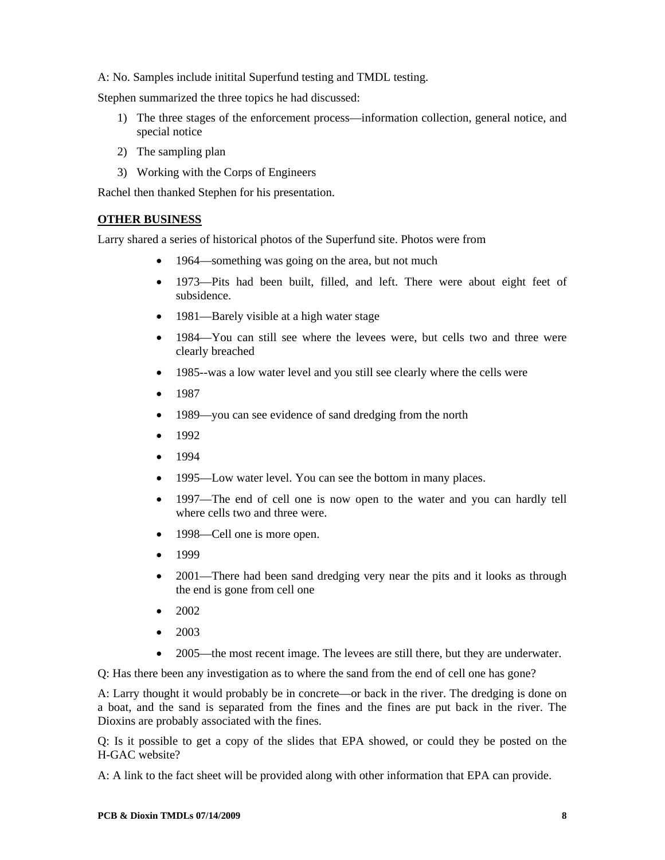A: No. Samples include initital Superfund testing and TMDL testing.

Stephen summarized the three topics he had discussed:

- 1) The three stages of the enforcement process—information collection, general notice, and special notice
- 2) The sampling plan
- 3) Working with the Corps of Engineers

Rachel then thanked Stephen for his presentation.

## **OTHER BUSINESS**

Larry shared a series of historical photos of the Superfund site. Photos were from

- 1964—something was going on the area, but not much
- 1973—Pits had been built, filled, and left. There were about eight feet of subsidence.
- 1981—Barely visible at a high water stage
- 1984—You can still see where the levees were, but cells two and three were clearly breached
- 1985--was a low water level and you still see clearly where the cells were
- 1987
- 1989—you can see evidence of sand dredging from the north
- 1992
- 1994
- 1995—Low water level. You can see the bottom in many places.
- 1997—The end of cell one is now open to the water and you can hardly tell where cells two and three were.
- 1998—Cell one is more open.
- 1999
- 2001—There had been sand dredging very near the pits and it looks as through the end is gone from cell one
- 2002
- 2003
- 2005—the most recent image. The levees are still there, but they are underwater.

Q: Has there been any investigation as to where the sand from the end of cell one has gone?

A: Larry thought it would probably be in concrete—or back in the river. The dredging is done on a boat, and the sand is separated from the fines and the fines are put back in the river. The Dioxins are probably associated with the fines.

Q: Is it possible to get a copy of the slides that EPA showed, or could they be posted on the H-GAC website?

A: A link to the fact sheet will be provided along with other information that EPA can provide.